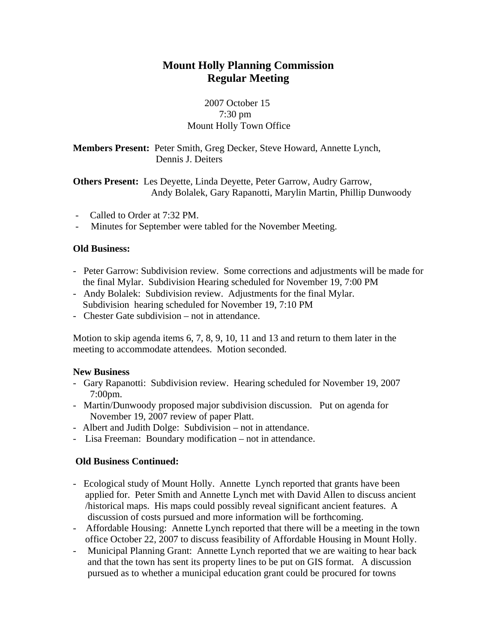# **Mount Holly Planning Commission Regular Meeting**

# 2007 October 15 7:30 pm Mount Holly Town Office

**Members Present:** Peter Smith, Greg Decker, Steve Howard, Annette Lynch, Dennis J. Deiters

**Others Present:** Les Deyette, Linda Deyette, Peter Garrow, Audry Garrow, Andy Bolalek, Gary Rapanotti, Marylin Martin, Phillip Dunwoody

- Called to Order at 7:32 PM.
- Minutes for September were tabled for the November Meeting.

## **Old Business:**

- Peter Garrow: Subdivision review. Some corrections and adjustments will be made for the final Mylar. Subdivision Hearing scheduled for November 19, 7:00 PM
- Andy Bolalek: Subdivision review. Adjustments for the final Mylar. Subdivision hearing scheduled for November 19, 7:10 PM
- Chester Gate subdivision not in attendance.

Motion to skip agenda items 6, 7, 8, 9, 10, 11 and 13 and return to them later in the meeting to accommodate attendees. Motion seconded.

## **New Business**

- Gary Rapanotti: Subdivision review. Hearing scheduled for November 19, 2007 7:00pm.
- Martin/Dunwoody proposed major subdivision discussion. Put on agenda for November 19, 2007 review of paper Platt.
- Albert and Judith Dolge: Subdivision not in attendance.
- Lisa Freeman: Boundary modification not in attendance.

# **Old Business Continued:**

- Ecological study of Mount Holly. Annette Lynch reported that grants have been applied for. Peter Smith and Annette Lynch met with David Allen to discuss ancient /historical maps. His maps could possibly reveal significant ancient features. A discussion of costs pursued and more information will be forthcoming.
- Affordable Housing: Annette Lynch reported that there will be a meeting in the town office October 22, 2007 to discuss feasibility of Affordable Housing in Mount Holly.
- Municipal Planning Grant: Annette Lynch reported that we are waiting to hear back and that the town has sent its property lines to be put on GIS format. A discussion pursued as to whether a municipal education grant could be procured for towns